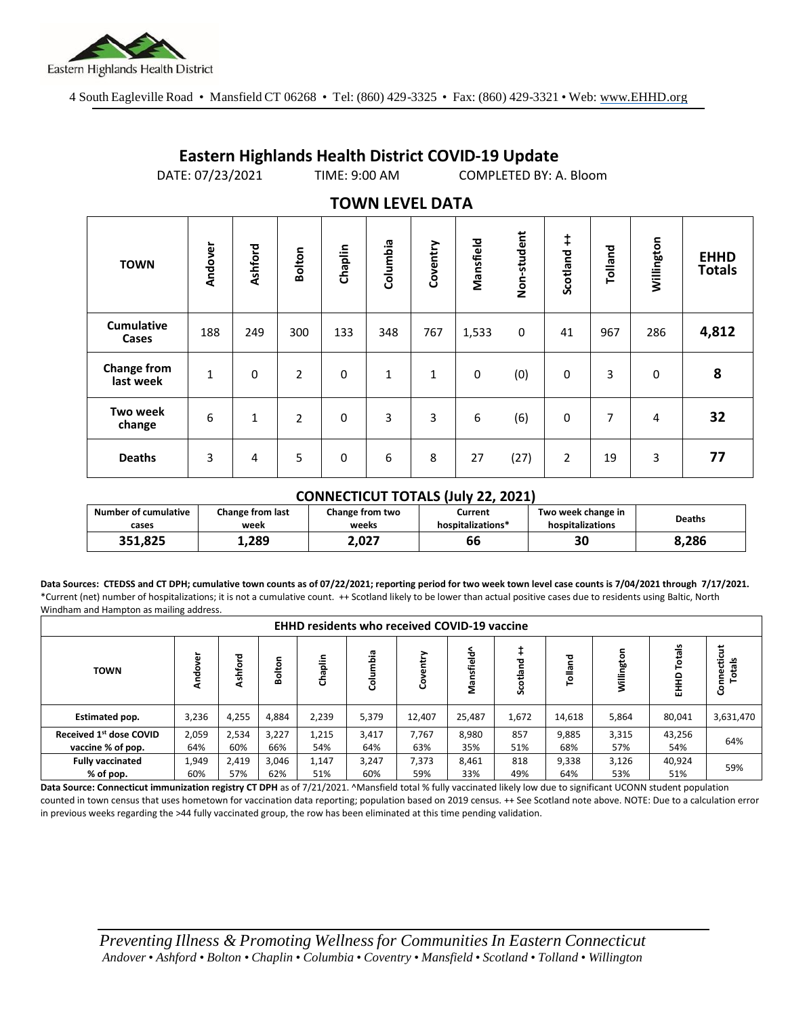

## **Eastern Highlands Health District COVID-19 Update**

DATE: 07/23/2021 TIME: 9:00 AM COMPLETED BY: A. Bloom

## **Non-student** Non-student **Scotland ++ Mansfield Willington Ashford Columbia Tolland Chaplin Coventry Bolton Andover EHHD TOWN Totals Cumulative Cases** <sup>188</sup> <sup>249</sup> <sup>300</sup> <sup>133</sup> <sup>348</sup> <sup>767</sup> 1,533 <sup>0</sup> <sup>41</sup> <sup>967</sup> <sup>286</sup> **4,812 Change from last week |** 1 | 0 | 2 | 0 | 1 | 1 | 0 (0) | 0 | 3 | 0 | 8<br>last week | 1 | 0 | 2 | 0 | 1 | 1 | 0 (0) | 0 | 3 | 0 | 8 **Two week change** 6 1 2 0 3 3 6 66 0 7 4 32 **Deaths** 3 4 5 0 6 8 27 (27) 2 19 3 **77**

## **TOWN LEVEL DATA**

## **CONNECTICUT TOTALS (July 22, 2021)**

| <b>Number of cumulative</b> | <b>Change from last</b> | Change from two | Current           | Two week change in | <b>Deaths</b> |  |
|-----------------------------|-------------------------|-----------------|-------------------|--------------------|---------------|--|
| cases                       | week                    | weeks           | hospitalizations* | hospitalizations   |               |  |
| 351,825                     | 1,289                   | 2.027           | 66                | 30                 | 8.286         |  |

**Data Sources: CTEDSS and CT DPH; cumulative town counts as of 07/22/2021; reporting period for two week town level case counts is 7/04/2021 through 7/17/2021.** \*Current (net) number of hospitalizations; it is not a cumulative count. ++ Scotland likely to be lower than actual positive cases due to residents using Baltic, North Windham and Hampton as mailing address.

| <b>EHHD residents who received COVID-19 vaccine</b> |        |         |            |            |            |             |            |                |             |            |                         |             |
|-----------------------------------------------------|--------|---------|------------|------------|------------|-------------|------------|----------------|-------------|------------|-------------------------|-------------|
| <b>TOWN</b>                                         | ៵<br>₹ | Ashford | olton<br>ă | aplin<br>ᡖ | ۵ä<br>శ్రే | entry<br>රි | Mansfield^ | ᇃ<br><u>sc</u> | 콛<br>Tollar | Willington | Totals<br>$\Omega$<br>톲 | Connecticut |
| Estimated pop.                                      | 3,236  | 4,255   | 4,884      | 2,239      | 5,379      | 12,407      | 25,487     | 1,672          | 14,618      | 5,864      | 80,041                  | 3,631,470   |
| Received 1st dose COVID                             | 2,059  | 2,534   | 3,227      | 1,215      | 3,417      | 7,767       | 8,980      | 857            | 9,885       | 3,315      | 43,256                  | 64%         |
| vaccine % of pop.                                   | 64%    | 60%     | 66%        | 54%        | 64%        | 63%         | 35%        | 51%            | 68%         | 57%        | 54%                     |             |
| <b>Fully vaccinated</b>                             | 1,949  | 2,419   | 3,046      | 1,147      | 3,247      | 7,373       | 8,461      | 818            | 9,338       | 3,126      | 40,924                  | 59%         |
| % of pop.                                           | 60%    | 57%     | 62%        | 51%        | 60%        | 59%         | 33%        | 49%            | 64%         | 53%        | 51%                     |             |

**Data Source: Connecticut immunization registry CT DPH** as of 7/21/2021. ^Mansfield total % fully vaccinated likely low due to significant UCONN student population counted in town census that uses hometown for vaccination data reporting; population based on 2019 census. ++ See Scotland note above. NOTE: Due to a calculation error in previous weeks regarding the >44 fully vaccinated group, the row has been eliminated at this time pending validation.